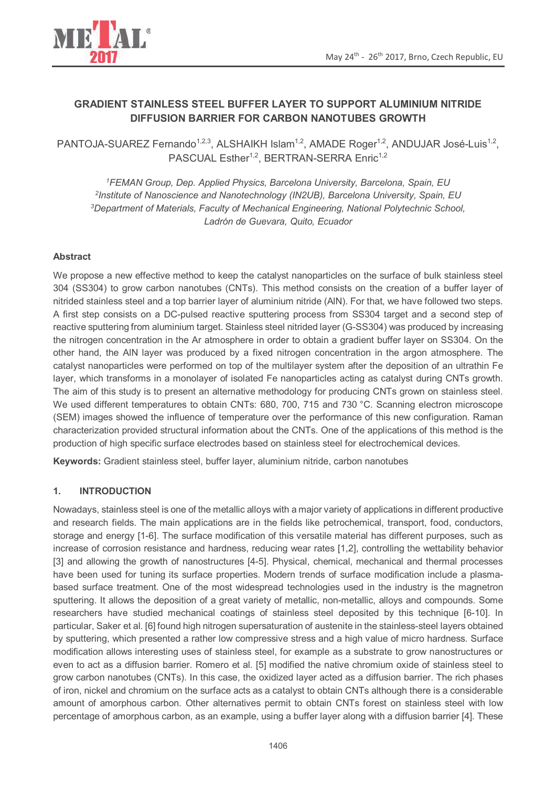

# **GRADIENT STAINLESS STEEL BUFFER LAYER TO SUPPORT ALUMINIUM NITRIDE DIFFUSION BARRIER FOR CARBON NANOTUBES GROWTH**

PANTOJA-SUAREZ Fernando<sup>1,2,3</sup>, ALSHAIKH Islam<sup>1,2</sup>, AMADE Roger<sup>1,2</sup>, ANDUJAR José-Luis<sup>1,2</sup>, PASCUAL Esther<sup>1,2</sup>, BERTRAN-SERRA Enric<sup>1,2</sup>

*FEMAN Group, Dep. Applied Physics, Barcelona University, Barcelona, Spain, EU Institute of Nanoscience and Nanotechnology (IN2UB), Barcelona University, Spain, EU Department of Materials, Faculty of Mechanical Engineering, National Polytechnic School, Ladrón de Guevara, Quito, Ecuador* 

### **Abstract**

We propose a new effective method to keep the catalyst nanoparticles on the surface of bulk stainless steel 304 (SS304) to grow carbon nanotubes (CNTs). This method consists on the creation of a buffer layer of nitrided stainless steel and a top barrier layer of aluminium nitride (AlN). For that, we have followed two steps. A first step consists on a DC-pulsed reactive sputtering process from SS304 target and a second step of reactive sputtering from aluminium target. Stainless steel nitrided layer (G-SS304) was produced by increasing the nitrogen concentration in the Ar atmosphere in order to obtain a gradient buffer layer on SS304. On the other hand, the AlN layer was produced by a fixed nitrogen concentration in the argon atmosphere. The catalyst nanoparticles were performed on top of the multilayer system after the deposition of an ultrathin Fe layer, which transforms in a monolayer of isolated Fe nanoparticles acting as catalyst during CNTs growth. The aim of this study is to present an alternative methodology for producing CNTs grown on stainless steel. We used different temperatures to obtain CNTs: 680, 700, 715 and 730 °C. Scanning electron microscope (SEM) images showed the influence of temperature over the performance of this new configuration. Raman characterization provided structural information about the CNTs. One of the applications of this method is the production of high specific surface electrodes based on stainless steel for electrochemical devices.

**Keywords:** Gradient stainless steel, buffer layer, aluminium nitride, carbon nanotubes

### **1. INTRODUCTION**

Nowadays, stainless steel is one of the metallic alloys with a major variety of applications in different productive and research fields. The main applications are in the fields like petrochemical, transport, food, conductors, storage and energy [1-6]. The surface modification of this versatile material has different purposes, such as increase of corrosion resistance and hardness, reducing wear rates [1,2], controlling the wettability behavior [3] and allowing the growth of nanostructures [4-5]. Physical, chemical, mechanical and thermal processes have been used for tuning its surface properties. Modern trends of surface modification include a plasmabased surface treatment. One of the most widespread technologies used in the industry is the magnetron sputtering. It allows the deposition of a great variety of metallic, non-metallic, alloys and compounds. Some researchers have studied mechanical coatings of stainless steel deposited by this technique [6-10]. In particular, Saker et al. [6] found high nitrogen supersaturation of austenite in the stainless-steel layers obtained by sputtering, which presented a rather low compressive stress and a high value of micro hardness. Surface modification allows interesting uses of stainless steel, for example as a substrate to grow nanostructures or even to act as a diffusion barrier. Romero et al. [5] modified the native chromium oxide of stainless steel to grow carbon nanotubes (CNTs). In this case, the oxidized layer acted as a diffusion barrier. The rich phases of iron, nickel and chromium on the surface acts as a catalyst to obtain CNTs although there is a considerable amount of amorphous carbon. Other alternatives permit to obtain CNTs forest on stainless steel with low percentage of amorphous carbon, as an example, using a buffer layer along with a diffusion barrier [4]. These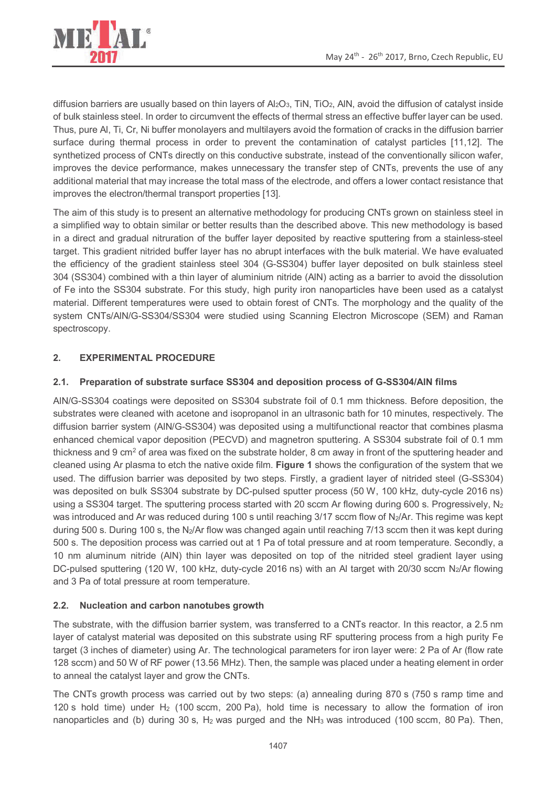

diffusion barriers are usually based on thin layers of Al<sub>2</sub>O<sub>3</sub>, TiN, TiO<sub>2</sub>, AlN, avoid the diffusion of catalyst inside of bulk stainless steel. In order to circumvent the effects of thermal stress an effective buffer layer can be used. Thus, pure Al, Ti, Cr, Ni buffer monolayers and multilayers avoid the formation of cracks in the diffusion barrier surface during thermal process in order to prevent the contamination of catalyst particles [11,12]. The synthetized process of CNTs directly on this conductive substrate, instead of the conventionally silicon wafer, improves the device performance, makes unnecessary the transfer step of CNTs, prevents the use of any additional material that may increase the total mass of the electrode, and offers a lower contact resistance that improves the electron/thermal transport properties [13].

The aim of this study is to present an alternative methodology for producing CNTs grown on stainless steel in a simplified way to obtain similar or better results than the described above. This new methodology is based in a direct and gradual nitruration of the buffer layer deposited by reactive sputtering from a stainless-steel target. This gradient nitrided buffer layer has no abrupt interfaces with the bulk material. We have evaluated the efficiency of the gradient stainless steel 304 (G-SS304) buffer layer deposited on bulk stainless steel 304 (SS304) combined with a thin layer of aluminium nitride (AlN) acting as a barrier to avoid the dissolution of Fe into the SS304 substrate. For this study, high purity iron nanoparticles have been used as a catalyst material. Different temperatures were used to obtain forest of CNTs. The morphology and the quality of the system CNTs/AlN/G-SS304/SS304 were studied using Scanning Electron Microscope (SEM) and Raman spectroscopy.

## **2. EXPERIMENTAL PROCEDURE**

### **2.1. Preparation of substrate surface SS304 and deposition process of G-SS304/AlN films**

AlN/G-SS304 coatings were deposited on SS304 substrate foil of 0.1 mm thickness. Before deposition, the substrates were cleaned with acetone and isopropanol in an ultrasonic bath for 10 minutes, respectively. The diffusion barrier system (AlN/G-SS304) was deposited using a multifunctional reactor that combines plasma enhanced chemical vapor deposition (PECVD) and magnetron sputtering. A SS304 substrate foil of 0.1 mm thickness and 9 cm<sup>2</sup> of area was fixed on the substrate holder, 8 cm away in front of the sputtering header and cleaned using Ar plasma to etch the native oxide film. **Figure 1** shows the configuration of the system that we used. The diffusion barrier was deposited by two steps. Firstly, a gradient layer of nitrided steel (G-SS304) was deposited on bulk SS304 substrate by DC-pulsed sputter process (50 W, 100 kHz, duty-cycle 2016 ns) using a SS304 target. The sputtering process started with 20 sccm Ar flowing during 600 s. Progressively,  $N_2$ was introduced and Ar was reduced during 100 s until reaching 3/17 sccm flow of N<sub>2</sub>/Ar. This regime was kept during 500 s. During 100 s, the N2/Ar flow was changed again until reaching 7/13 sccm then it was kept during 500 s. The deposition process was carried out at 1 Pa of total pressure and at room temperature. Secondly, a 10 nm aluminum nitride (AlN) thin layer was deposited on top of the nitrided steel gradient layer using DC-pulsed sputtering (120 W, 100 kHz, duty-cycle 2016 ns) with an Al target with 20/30 sccm N2/Ar flowing and 3 Pa of total pressure at room temperature.

### **2.2. Nucleation and carbon nanotubes growth**

The substrate, with the diffusion barrier system, was transferred to a CNTs reactor. In this reactor, a 2.5 nm layer of catalyst material was deposited on this substrate using RF sputtering process from a high purity Fe target (3 inches of diameter) using Ar. The technological parameters for iron layer were: 2 Pa of Ar (flow rate 128 sccm) and 50 W of RF power (13.56 MHz). Then, the sample was placed under a heating element in order to anneal the catalyst layer and grow the CNTs.

The CNTs growth process was carried out by two steps: (a) annealing during 870 s (750 s ramp time and 120 s hold time) under H<sub>2</sub> (100 sccm, 200 Pa), hold time is necessary to allow the formation of iron nanoparticles and (b) during 30 s, H<sub>2</sub> was purged and the NH<sub>3</sub> was introduced (100 sccm, 80 Pa). Then,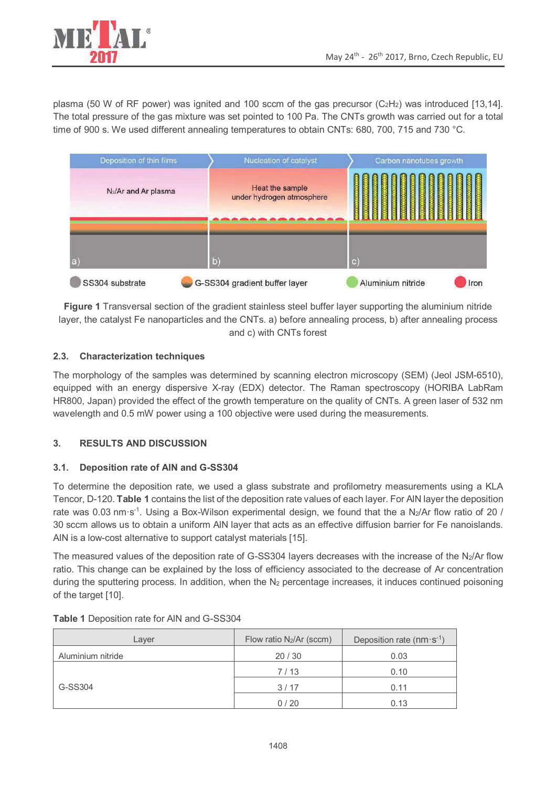

plasma (50 W of RF power) was ignited and 100 sccm of the gas precursor ( $C_2H_2$ ) was introduced [13,14]. The total pressure of the gas mixture was set pointed to 100 Pa. The CNTs growth was carried out for a total time of 900 s. We used different annealing temperatures to obtain CNTs: 680, 700, 715 and 730 °C.



**Figure 1** Transversal section of the gradient stainless steel buffer layer supporting the aluminium nitride layer, the catalyst Fe nanoparticles and the CNTs. a) before annealing process, b) after annealing process and c) with CNTs forest

### **2.3. Characterization techniques**

The morphology of the samples was determined by scanning electron microscopy (SEM) (Jeol JSM-6510), equipped with an energy dispersive X-ray (EDX) detector. The Raman spectroscopy (HORIBA LabRam HR800, Japan) provided the effect of the growth temperature on the quality of CNTs. A green laser of 532 nm wavelength and 0.5 mW power using a 100 objective were used during the measurements.

### **3. RESULTS AND DISCUSSION**

### **3.1. Deposition rate of AlN and G-SS304**

To determine the deposition rate, we used a glass substrate and profilometry measurements using a KLA Tencor, D-120. **Table 1** contains the list of the deposition rate values of each layer. For AlN layer the deposition rate was 0.03 nm·s<sup>-1</sup>. Using a Box-Wilson experimental design, we found that the a N<sub>2</sub>/Ar flow ratio of 20 / 30 sccm allows us to obtain a uniform AlN layer that acts as an effective diffusion barrier for Fe nanoislands. AlN is a low-cost alternative to support catalyst materials [15].

The measured values of the deposition rate of G-SS304 layers decreases with the increase of the N<sub>2</sub>/Ar flow ratio. This change can be explained by the loss of efficiency associated to the decrease of Ar concentration during the sputtering process. In addition, when the  $N_2$  percentage increases, it induces continued poisoning of the target [10].

| Laver             | Flow ratio $N_2/Ar$ (sccm) | Deposition rate ( $nm \cdot s^{-1}$ ) |
|-------------------|----------------------------|---------------------------------------|
| Aluminium nitride | 20/30                      | 0.03                                  |
| G-SS304           | 7/13                       | 0.10                                  |
|                   | 3/17                       | 0.11                                  |
|                   | 0/20                       | 0.13                                  |

**Table 1** Deposition rate for AlN and G-SS304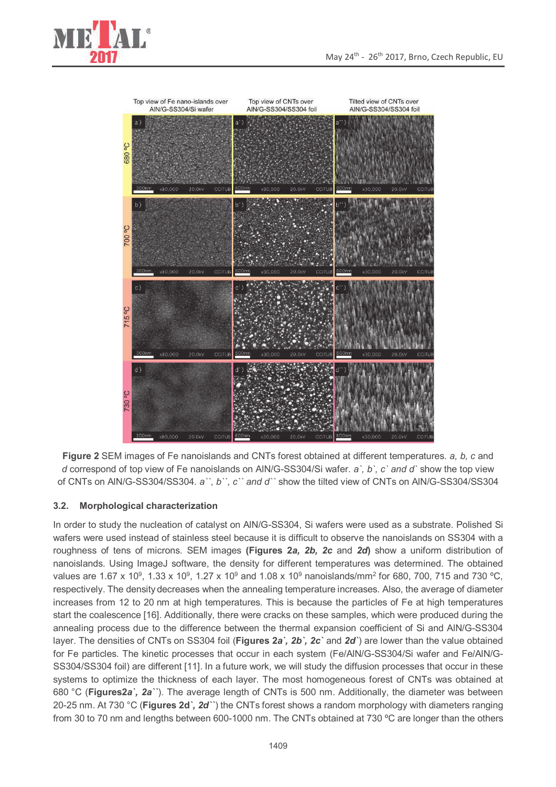



**Figure 2** SEM images of Fe nanoislands and CNTs forest obtained at different temperatures. *a, b, c* and *d* correspond of top view of Fe nanoislands on AlN/G-SS304/Si wafer. *a`, b`, c` and d`* show the top view of CNTs on AlN/G-SS304/SS304. *a``, b``, c`` and d``* show the tilted view of CNTs on AlN/G-SS304/SS304

### **3.2. Morphological characterization**

In order to study the nucleation of catalyst on AlN/G-SS304, Si wafers were used as a substrate. Polished Si wafers were used instead of stainless steel because it is difficult to observe the nanoislands on SS304 with a roughness of tens of microns. SEM images **(Figures 2***a, 2b, 2c* and *2d***)** show a uniform distribution of nanoislands. Using ImageJ software, the density for different temperatures was determined. The obtained values are 1.67 x 10<sup>9</sup>, 1.33 x 10<sup>9</sup>, 1.27 x 10<sup>9</sup> and 1.08 x 10<sup>9</sup> nanoislands/mm<sup>2</sup> for 680, 700, 715 and 730 °C, respectively. The density decreases when the annealing temperature increases. Also, the average of diameter increases from 12 to 20 nm at high temperatures. This is because the particles of Fe at high temperatures start the coalescence [16]. Additionally, there were cracks on these samples, which were produced during the annealing process due to the difference between the thermal expansion coefficient of Si and AlN/G-SS304 layer. The densities of CNTs on SS304 foil (**Figures 2***a`, 2b`, 2c`* and *2d`*) are lower than the value obtained for Fe particles. The kinetic processes that occur in each system (Fe/AlN/G-SS304/Si wafer and Fe/AlN/G-SS304/SS304 foil) are different [11]. In a future work, we will study the diffusion processes that occur in these systems to optimize the thickness of each layer. The most homogeneous forest of CNTs was obtained at 680 °C (**Figures2***a`, 2a``*). The average length of CNTs is 500 nm. Additionally, the diameter was between 20-25 nm. At 730 °C (**Figures 2d***`, 2d``*) the CNTs forest shows a random morphology with diameters ranging from 30 to 70 nm and lengths between 600-1000 nm. The CNTs obtained at 730 ºC are longer than the others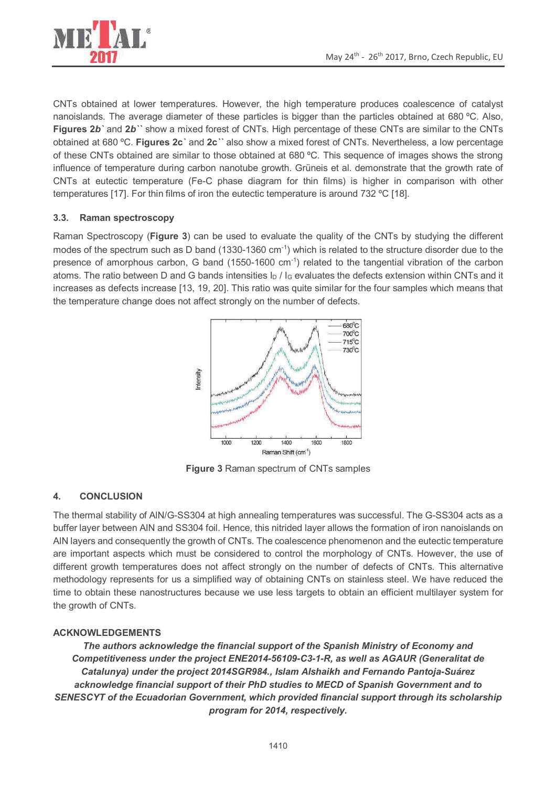

CNTs obtained at lower temperatures. However, the high temperature produces coalescence of catalyst nanoislands. The average diameter of these particles is bigger than the particles obtained at 680 ºC. Also, **Figures 2***b`* and **2***b``* show a mixed forest of CNTs. High percentage of these CNTs are similar to the CNTs obtained at 680 ºC. **Figures 2c***`* and **2c***``* also show a mixed forest of CNTs. Nevertheless, a low percentage of these CNTs obtained are similar to those obtained at 680 ºC. This sequence of images shows the strong influence of temperature during carbon nanotube growth. Grüneis et al. demonstrate that the growth rate of CNTs at eutectic temperature (Fe-C phase diagram for thin films) is higher in comparison with other temperatures [17]. For thin films of iron the eutectic temperature is around 732 ºC [18].

### **3.3. Raman spectroscopy**

Raman Spectroscopy (**Figure 3**) can be used to evaluate the quality of the CNTs by studying the different modes of the spectrum such as D band (1330-1360 cm<sup>-1</sup>) which is related to the structure disorder due to the presence of amorphous carbon, G band (1550-1600 cm-1) related to the tangential vibration of the carbon atoms. The ratio between D and G bands intensities  $\ln l_{\rm G}$  evaluates the defects extension within CNTs and it increases as defects increase [13, 19, 20]. This ratio was quite similar for the four samples which means that the temperature change does not affect strongly on the number of defects.



**Figure 3** Raman spectrum of CNTs samples

### **4. CONCLUSION**

The thermal stability of AlN/G-SS304 at high annealing temperatures was successful. The G-SS304 acts as a buffer layer between AlN and SS304 foil. Hence, this nitrided layer allows the formation of iron nanoislands on AlN layers and consequently the growth of CNTs. The coalescence phenomenon and the eutectic temperature are important aspects which must be considered to control the morphology of CNTs. However, the use of different growth temperatures does not affect strongly on the number of defects of CNTs. This alternative methodology represents for us a simplified way of obtaining CNTs on stainless steel. We have reduced the time to obtain these nanostructures because we use less targets to obtain an efficient multilayer system for the growth of CNTs.

### **ACKNOWLEDGEMENTS**

*The authors acknowledge the financial support of the Spanish Ministry of Economy and Competitiveness under the project ENE2014-56109-C3-1-R, as well as AGAUR (Generalitat de Catalunya) under the project 2014SGR984., Islam Alshaikh and Fernando Pantoja-Suárez acknowledge financial support of their PhD studies to MECD of Spanish Government and to SENESCYT of the Ecuadorian Government, which provided financial support through its scholarship program for 2014, respectively.*